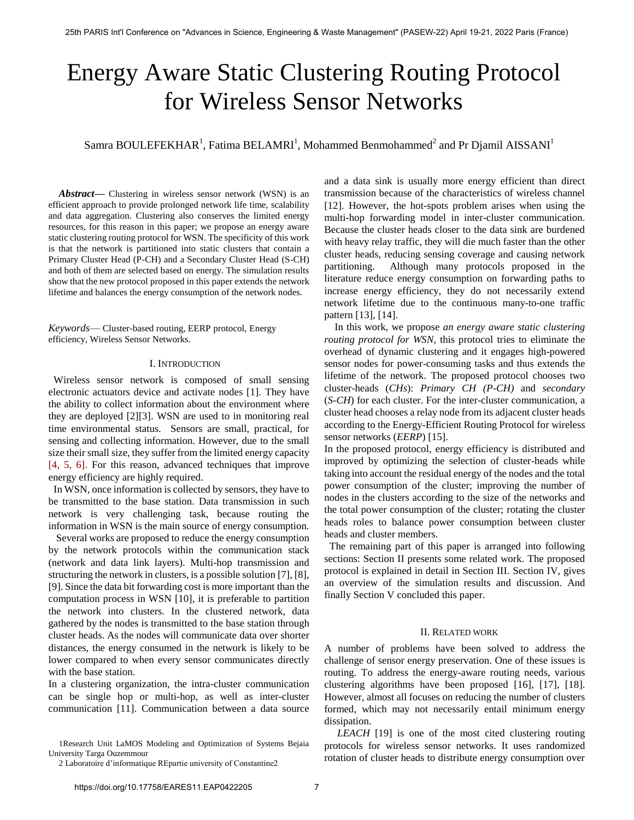# Energy Aware Static Clustering Routing Protocol for Wireless Sensor Networks

# Samra BOULEFEKHAR<sup>1</sup>, Fatima BELAMRI<sup>1</sup>, Mohammed Benmohammed<sup>2</sup> and Pr Djamil AISSANI<sup>1</sup>

*Abstract***—** Clustering in wireless sensor network (WSN) is an efficient approach to provide prolonged network life time, scalability and data aggregation. Clustering also conserves the limited energy resources, for this reason in this paper; we propose an energy aware static clustering routing protocol for WSN. The specificity of this work is that the network is partitioned into static clusters that contain a Primary Cluster Head (P-CH) and a Secondary Cluster Head (S-CH) and both of them are selected based on energy. The simulation results show that the new protocol proposed in this paper extends the network lifetime and balances the energy consumption of the network nodes.

*Keywords*— Cluster-based routing, EERP protocol, Energy efficiency, Wireless Sensor Networks.

# I. INTRODUCTION

 Wireless sensor network is composed of small sensing electronic actuators device and activate nodes [1]. They have the ability to collect information about the environment where they are deployed [2][3]. WSN are used to in monitoring real time environmental status. Sensors are small, practical, for sensing and collecting information. However, due to the small size their small size, they suffer from the limited energy capacity [4, 5, 6]. For this reason, advanced techniques that improve energy efficiency are highly required.

 In WSN, once information is collected by sensors, they have to be transmitted to the base station. Data transmission in such network is very challenging task, because routing the information in WSN is the main source of energy consumption.

 Several works are proposed to reduce the energy consumption by the network protocols within the communication stack (network and data link layers). Multi-hop transmission and structuring the network in clusters, is a possible solution [7], [8], [9]. Since the data bit forwarding cost is more important than the computation process in WSN [10], it is preferable to partition the network into clusters. In the clustered network, data gathered by the nodes is transmitted to the base station through cluster heads. As the nodes will communicate data over shorter distances, the energy consumed in the network is likely to be lower compared to when every sensor communicates directly with the base station.

In a clustering organization, the intra-cluster communication can be single hop or multi-hop, as well as inter-cluster communication [11]. Communication between a data source and a data sink is usually more energy efficient than direct transmission because of the characteristics of wireless channel [12]. However, the hot-spots problem arises when using the multi-hop forwarding model in inter-cluster communication. Because the cluster heads closer to the data sink are burdened with heavy relay traffic, they will die much faster than the other cluster heads, reducing sensing coverage and causing network partitioning. Although many protocols proposed in the literature reduce energy consumption on forwarding paths to increase energy efficiency, they do not necessarily extend network lifetime due to the continuous many-to-one traffic pattern [13], [14].

 In this work, we propose *an energy aware static clustering routing protocol for WSN*, this protocol tries to eliminate the overhead of dynamic clustering and it engages high-powered sensor nodes for power-consuming tasks and thus extends the lifetime of the network. The proposed protocol chooses two cluster-heads (*CHs*): *Primary CH (P-CH)* and *secondary*  (*S-CH*) for each cluster. For the inter-cluster communication, a cluster head chooses a relay node from its adjacent cluster heads according to the Energy-Efficient Routing Protocol for wireless sensor networks (*EERP*) [15].

In the proposed protocol, energy efficiency is distributed and improved by optimizing the selection of cluster-heads while taking into account the residual energy of the nodes and the total power consumption of the cluster; improving the number of nodes in the clusters according to the size of the networks and the total power consumption of the cluster; rotating the cluster heads roles to balance power consumption between cluster heads and cluster members.

 The remaining part of this paper is arranged into following sections: Section II presents some related work. The proposed protocol is explained in detail in Section III. Section IV, gives an overview of the simulation results and discussion. And finally Section V concluded this paper.

# II. RELATED WORK

A number of problems have been solved to address the challenge of sensor energy preservation. One of these issues is routing. To address the energy-aware routing needs, various clustering algorithms have been proposed [16], [17], [18]. However, almost all focuses on reducing the number of clusters formed, which may not necessarily entail minimum energy dissipation.

 *LEACH* [19] is one of the most cited clustering routing protocols for wireless sensor networks. It uses randomized rotation of cluster heads to distribute energy consumption over

<sup>1</sup>Research Unit LaMOS Modeling and Optimization of Systems Bejaia University Targa Ouzemmour

<sup>2</sup> Laboratoire d'informatique REpartie university of Constantine2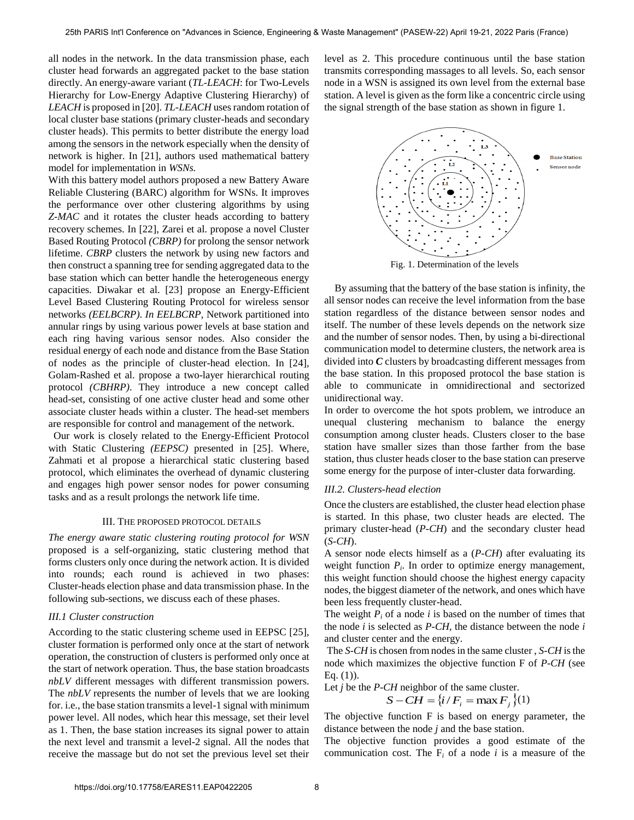all nodes in the network. In the data transmission phase, each cluster head forwards an aggregated packet to the base station directly. An energy-aware variant (*TL-LEACH*: for Two-Levels Hierarchy for Low-Energy Adaptive Clustering Hierarchy) of *LEACH* is proposed in [20]. *TL-LEACH* uses random rotation of local cluster base stations (primary cluster-heads and secondary cluster heads). This permits to better distribute the energy load among the sensors in the network especially when the density of network is higher. In [21], authors used mathematical battery model for implementation in *WSNs.*

With this battery model authors proposed a new Battery Aware Reliable Clustering (BARC) algorithm for WSNs. It improves the performance over other clustering algorithms by using *Z-MAC* and it rotates the cluster heads according to battery recovery schemes. In [22], Zarei et al. propose a novel Cluster Based Routing Protocol *(CBRP)* for prolong the sensor network lifetime. *CBRP* clusters the network by using new factors and then construct a spanning tree for sending aggregated data to the base station which can better handle the heterogeneous energy capacities. Diwakar et al. [23] propose an Energy-Efficient Level Based Clustering Routing Protocol for wireless sensor networks *(EELBCRP)*. *In EELBCRP*, Network partitioned into annular rings by using various power levels at base station and each ring having various sensor nodes. Also consider the residual energy of each node and distance from the Base Station of nodes as the principle of cluster-head election. In [24], Golam-Rashed et al. propose a two-layer hierarchical routing protocol *(CBHRP)*. They introduce a new concept called head-set, consisting of one active cluster head and some other associate cluster heads within a cluster. The head-set members are responsible for control and management of the network.

 Our work is closely related to the Energy-Efficient Protocol with Static Clustering *(EEPSC)* presented in [25]. Where, Zahmati et al propose a hierarchical static clustering based protocol, which eliminates the overhead of dynamic clustering and engages high power sensor nodes for power consuming tasks and as a result prolongs the network life time.

## III. THE PROPOSED PROTOCOL DETAILS

*The energy aware static clustering routing protocol for WSN*  proposed is a self-organizing, static clustering method that forms clusters only once during the network action. It is divided into rounds; each round is achieved in two phases: Cluster-heads election phase and data transmission phase. In the following sub-sections, we discuss each of these phases.

# *III.1 Cluster construction*

According to the static clustering scheme used in EEPSC [25], cluster formation is performed only once at the start of network operation, the construction of clusters is performed only once at the start of network operation. Thus, the base station broadcasts *nbLV* different messages with different transmission powers. The *nbLV* represents the number of levels that we are looking for. i.e., the base station transmits a level-1 signal with minimum power level. All nodes, which hear this message, set their level as 1. Then, the base station increases its signal power to attain the next level and transmit a level-2 signal. All the nodes that receive the massage but do not set the previous level set their

level as 2. This procedure continuous until the base station transmits corresponding massages to all levels. So, each sensor node in a WSN is assigned its own level from the external base station. A level is given as the form like a concentric circle using the signal strength of the base station as shown in figure 1.



 By assuming that the battery of the base station is infinity, the all sensor nodes can receive the level information from the base station regardless of the distance between sensor nodes and itself. The number of these levels depends on the network size and the number of sensor nodes. Then, by using a bi-directional communication model to determine clusters, the network area is divided into *C* clusters by broadcasting different messages from the base station. In this proposed protocol the base station is able to communicate in omnidirectional and sectorized unidirectional way.

In order to overcome the hot spots problem, we introduce an unequal clustering mechanism to balance the energy consumption among cluster heads. Clusters closer to the base station have smaller sizes than those farther from the base station, thus cluster heads closer to the base station can preserve some energy for the purpose of inter-cluster data forwarding.

# *III.2. Clusters-head election*

Once the clusters are established, the cluster head election phase is started. In this phase, two cluster heads are elected. The primary cluster-head (*P-CH*) and the secondary cluster head (*S-CH*).

A sensor node elects himself as a (*P-CH*) after evaluating its weight function  $P_i$ . In order to optimize energy management, this weight function should choose the highest energy capacity nodes, the biggest diameter of the network, and ones which have been less frequently cluster-head.

The weight  $P_i$  of a node  $i$  is based on the number of times that the node *i* is selected as *P-CH*, the distance between the node *i* and cluster center and the energy.

 The *S-CH* is chosen from nodes in the same cluster , *S-CH* is the node which maximizes the objective function F of *P-CH* (see Eq.  $(1)$ ).

Let *j* be the *P-CH* neighbor of the same cluster.  
\n
$$
S - CH = \{i / F_i = \max F_j\}(1)
$$

The objective function F is based on energy parameter, the distance between the node *j* and the base station.

The objective function provides a good estimate of the communication cost. The  $F_i$  of a node *i* is a measure of the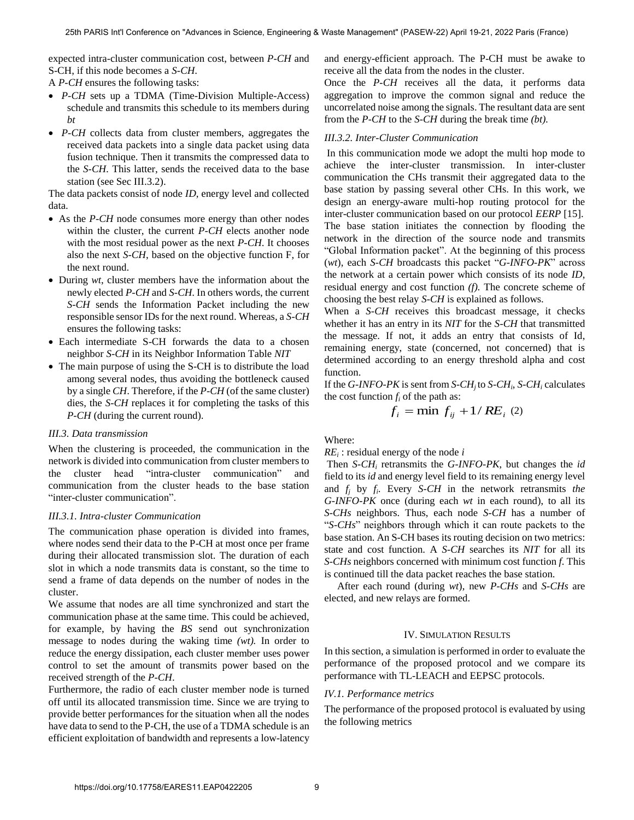expected intra-cluster communication cost, between *P-CH* and S-CH, if this node becomes a *S-CH*.

A *P-CH* ensures the following tasks:

- *P-CH* sets up a TDMA (Time-Division Multiple-Access) schedule and transmits this schedule to its members during *bt*
- *P-CH* collects data from cluster members, aggregates the received data packets into a single data packet using data fusion technique. Then it transmits the compressed data to the *S-CH*. This latter, sends the received data to the base station (see Sec III.3.2).

The data packets consist of node *ID*, energy level and collected data.

- As the *P-CH* node consumes more energy than other nodes within the cluster, the current *P-CH* elects another node with the most residual power as the next *P-CH*. It chooses also the next *S-CH*, based on the objective function F, for the next round.
- During *wt*, cluster members have the information about the newly elected *P-CH* and *S-CH*. In others words, the current *S-CH* sends the Information Packet including the new responsible sensor IDs for the next round. Whereas, a *S-CH* ensures the following tasks:
- Each intermediate S-CH forwards the data to a chosen neighbor *S-CH* in its Neighbor Information Table *NIT*
- The main purpose of using the S-CH is to distribute the load among several nodes, thus avoiding the bottleneck caused by a single *CH*. Therefore, if the *P-CH* (of the same cluster) dies, the *S-CH* replaces it for completing the tasks of this *P-CH* (during the current round).

# *III.3. Data transmission*

When the clustering is proceeded, the communication in the network is divided into communication from cluster members to the cluster head "intra-cluster communication" and communication from the cluster heads to the base station "inter-cluster communication".

# *III.3.1. Intra-cluster Communication*

The communication phase operation is divided into frames, where nodes send their data to the P-CH at most once per frame during their allocated transmission slot. The duration of each slot in which a node transmits data is constant, so the time to send a frame of data depends on the number of nodes in the cluster.

We assume that nodes are all time synchronized and start the communication phase at the same time. This could be achieved, for example, by having the *BS* send out synchronization message to nodes during the waking time *(wt).* In order to reduce the energy dissipation, each cluster member uses power control to set the amount of transmits power based on the received strength of the *P-CH*.

Furthermore, the radio of each cluster member node is turned off until its allocated transmission time. Since we are trying to provide better performances for the situation when all the nodes have data to send to the P-CH, the use of a TDMA schedule is an efficient exploitation of bandwidth and represents a low-latency and energy-efficient approach. The P-CH must be awake to receive all the data from the nodes in the cluster.

Once the *P-CH* receives all the data, it performs data aggregation to improve the common signal and reduce the uncorrelated noise among the signals. The resultant data are sent from the *P-CH* to the *S-CH* during the break time *(bt).*

# *III.3.2. Inter-Cluster Communication*

 In this communication mode we adopt the multi hop mode to achieve the inter-cluster transmission. In inter-cluster communication the CHs transmit their aggregated data to the base station by passing several other CHs. In this work, we design an energy-aware multi-hop routing protocol for the inter-cluster communication based on our protocol *EERP* [15]. The base station initiates the connection by flooding the network in the direction of the source node and transmits "Global Information packet". At the beginning of this process (*wt*), each *S-CH* broadcasts this packet "G-INFO-PK" across the network at a certain power which consists of its node *ID*, residual energy and cost function *(f).* The concrete scheme of choosing the best relay *S-CH* is explained as follows.

When a *S-CH* receives this broadcast message, it checks whether it has an entry in its *NIT* for the *S-CH* that transmitted the message. If not, it adds an entry that consists of Id, remaining energy, state (concerned, not concerned) that is determined according to an energy threshold alpha and cost function.

If the *G*-INFO-PK is sent from *S*-CH<sub>*j*</sub> to *S*-CH<sub>*i*</sub>, *S*-CH<sub>*i*</sub> calculates the cost function  $f_i$  of the path as:

$$
f_i = \min f_{ij} + 1/RE_i \text{ (2)}
$$

Where:

# *RE<sup>i</sup>* : residual energy of the node *i*

 Then *S-CH<sup>i</sup>* retransmits the *G-INFO-PK*, but changes the *id* field to its *id* and energy level field to its remaining energy level and  $f_i$  by  $f_i$ . Every *S-CH* in the network retransmits *the G-INFO-PK* once (during each *wt* in each round), to all its *S-CHs* neighbors. Thus, each node *S-CH* has a number of ―*S-CHs*‖ neighbors through which it can route packets to the base station. An S-CH bases its routing decision on two metrics: state and cost function. A *S-CH* searches its *NIT* for all its *S-CHs* neighbors concerned with minimum cost function *f*. This is continued till the data packet reaches the base station.

 After each round (during *wt*), new *P-CHs* and *S-CHs* are elected, and new relays are formed.

# IV. SIMULATION RESULTS

In this section, a simulation is performed in order to evaluate the performance of the proposed protocol and we compare its performance with TL-LEACH and EEPSC protocols.

# *IV.1. Performance metrics*

The performance of the proposed protocol is evaluated by using the following metrics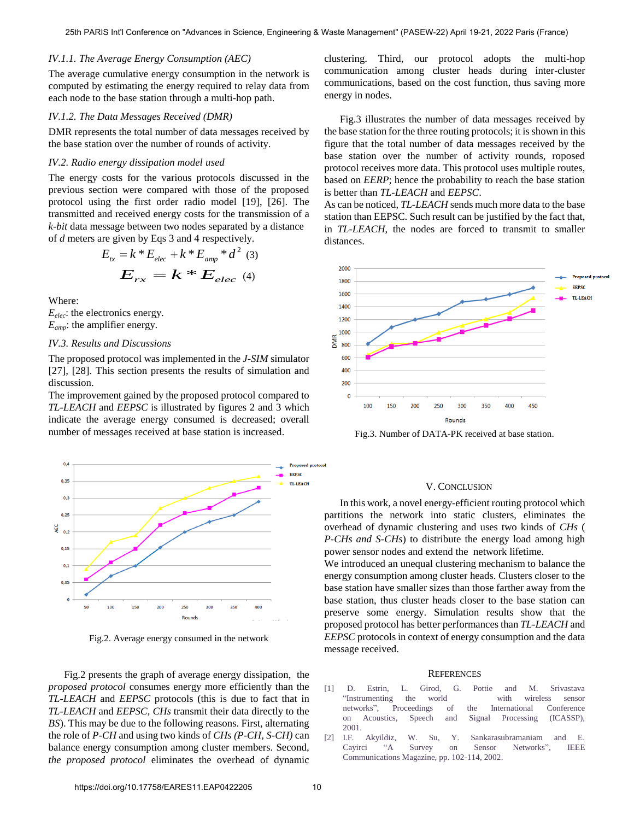# *IV.1.1. The Average Energy Consumption (AEC)*

The average cumulative energy consumption in the network is computed by estimating the energy required to relay data from each node to the base station through a multi-hop path.

### *IV.1.2. The Data Messages Received (DMR)*

DMR represents the total number of data messages received by the base station over the number of rounds of activity.

# *IV.2. Radio energy dissipation model used*

The energy costs for the various protocols discussed in the previous section were compared with those of the proposed protocol using the first order radio model [19], [26]. The transmitted and received energy costs for the transmission of a *k-bit* data message between two nodes separated by a distance of *d* meters are given by Eqs 3 and 4 respectively.

$$
E_{tx} = k * E_{elec} + k * E_{amp} * d^2
$$
 (3)  

$$
E_{rx} = k * E_{elec}
$$
 (4)

Where:

*Eelec*: the electronics energy. *Eamp*: the amplifier energy.

# *IV.3. Results and Discussions*

The proposed protocol was implemented in the *J-SIM* simulator [27], [28]. This section presents the results of simulation and discussion.

The improvement gained by the proposed protocol compared to *TL-LEACH* and *EEPSC* is illustrated by figures 2 and 3 which indicate the average energy consumed is decreased; overall number of messages received at base station is increased.



Fig.2. Average energy consumed in the network

 Fig.2 presents the graph of average energy dissipation, the *proposed protocol* consumes energy more efficiently than the *TL-LEACH* and *EEPSC* protocols (this is due to fact that in *TL-LEACH* and *EEPSC*, *CHs* transmit their data directly to the *BS*). This may be due to the following reasons. First, alternating the role of *P-CH* and using two kinds of *CHs (P-CH, S-CH)* can balance energy consumption among cluster members. Second, *the proposed protocol* eliminates the overhead of dynamic

clustering. Third, our protocol adopts the multi-hop communication among cluster heads during inter-cluster communications, based on the cost function, thus saving more energy in nodes.

 Fig.3 illustrates the number of data messages received by the base station for the three routing protocols; it is shown in this figure that the total number of data messages received by the base station over the number of activity rounds, roposed protocol receives more data. This protocol uses multiple routes, based on *EERP*; hence the probability to reach the base station is better than *TL-LEACH* and *EEPSC*.

As can be noticed, *TL-LEACH* sends much more data to the base station than EEPSC. Such result can be justified by the fact that, in *TL-LEACH*, the nodes are forced to transmit to smaller distances.



Fig.3. Number of DATA-PK received at base station.

# V. CONCLUSION

 In this work, a novel energy-efficient routing protocol which partitions the network into static clusters, eliminates the overhead of dynamic clustering and uses two kinds of *CHs* ( *P-CHs and S-CHs*) to distribute the energy load among high power sensor nodes and extend the network lifetime.

We introduced an unequal clustering mechanism to balance the energy consumption among cluster heads. Clusters closer to the base station have smaller sizes than those farther away from the base station, thus cluster heads closer to the base station can preserve some energy. Simulation results show that the proposed protocol has better performances than *TL-LEACH* and *EEPSC* protocols in context of energy consumption and the data message received.

#### **REFERENCES**

- [1] D. Estrin, L. Girod, G. Pottie and M. Srivastava ―Instrumenting the world with wireless sensor networks‖, Proceedings of the International Conference on Acoustics, Speech and Signal Processing (ICASSP), 2001.
- [2] [I.F. Akyildiz, W. Su, Y. Sankarasubramaniam and E.](https://doi.org/10.1109/MCOM.2002.1024422)  Cayirci "A Survey on Sensor Networks", IEEE [Communications Magazine, pp. 102-114, 2002.](https://doi.org/10.1109/MCOM.2002.1024422)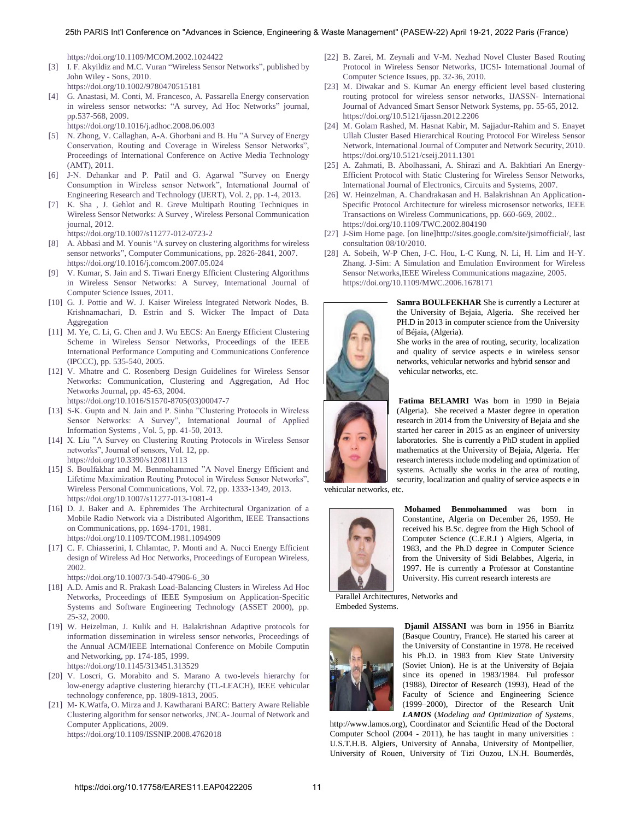https://doi.org/10.1109/MCOM.2002.1024422

- [3] I. F. Akyildiz and M.C. Vuran "Wireless Sensor Networks", published by [John Wiley - Sons, 2010.](https://doi.org/10.1002/9780470515181) https://doi.org/10.1002/9780470515181
- [4] [G. Anastasi, M. Conti, M. Francesco, A. Passarella Energy conservation](https://doi.org/10.1016/j.adhoc.2008.06.003)  in wireless sensor networks: "A survey, Ad Hoc Networks" journal, [pp.537-568, 2009.](https://doi.org/10.1016/j.adhoc.2008.06.003)
- https://doi.org/10.1016/j.adhoc.2008.06.003
- [5] N. Zhong, V. Callaghan, A-A. Ghorbani and B. Hu "A Survey of Energy Conservation, Routing and Coverage in Wireless Sensor Networks", Proceedings of International Conference on Active Media Technology (AMT), 2011.
- [6] J-N. Dehankar and P. Patil and G. Agarwal "Survey on Energy Consumption in Wireless sensor Network", International Journal of Engineering Research and Technology (IJERT), Vol. 2, pp. 1-4, 2013.
- [7] [K. Sha , J. Gehlot and R. Greve Multipath Routing Techniques in](https://doi.org/10.1007/s11277-012-0723-2)  [Wireless Sensor Networks: A Survey , Wireless Personal Communication](https://doi.org/10.1007/s11277-012-0723-2)  [journal, 2012.](https://doi.org/10.1007/s11277-012-0723-2)
	- https://doi.org/10.1007/s11277-012-0723-2
- [8] A. Abbasi and M. Younis "A survey on clustering algorithms for wireless sensor networks", Computer Communications, pp. 2826-2841, 2007. https://doi.org/10.1016/j.comcom.2007.05.024
- [9] V. Kumar, S. Jain and S. Tiwari Energy Efficient Clustering Algorithms in Wireless Sensor Networks: A Survey, International Journal of Computer Science Issues, 2011.
- [10] G. J. Pottie and W. J. Kaiser Wireless Integrated Network Nodes, B. Krishnamachari, D. Estrin and S. Wicker The Impact of Data Aggregation
- [11] M. Ye, C. Li, G. Chen and J. Wu EECS: An Energy Efficient Clustering Scheme in Wireless Sensor Networks, Proceedings of the IEEE International Performance Computing and Communications Conference (IPCCC), pp. 535-540, 2005.
- [12] [V. Mhatre and C. Rosenberg Design Guidelines for Wireless Sensor](https://doi.org/10.1016/S1570-8705(03)00047-7)  [Networks: Communication, Clustering and Aggregation, Ad Hoc](https://doi.org/10.1016/S1570-8705(03)00047-7)  [Networks Journal, pp. 45-63, 2004.](https://doi.org/10.1016/S1570-8705(03)00047-7)
	- https://doi.org/10.1016/S1570-8705(03)00047-7
- [13] S-K. Gupta and N. Jain and P. Sinha "Clustering Protocols in Wireless Sensor Networks: A Survey", International Journal of Applied Information Systems , Vol. 5, pp. 41-50, 2013.
- [14] X. Liu "A Survey on Clustering Routing Protocols in Wireless Sensor networks", Journal of sensors, Vol. 12, pp. https://doi.org/10.3390/s120811113
- [15] S. Boulfakhar and M. Benmohammed "A Novel Energy Efficient and Lifetime Maximization Routing Protocol in Wireless Sensor Networks", [Wireless Personal Communications, Vol. 72, pp. 1333-1349, 2013.](https://doi.org/10.1007/s11277-013-1081-4)  https://doi.org/10.1007/s11277-013-1081-4
- [16] D. J. Baker and A. Ephremides The Architectural Organization of a [Mobile Radio Network via a Distributed Algorithm, IEEE Transactions](https://doi.org/10.1109/TCOM.1981.1094909)  [on Communications, pp. 1694-1701, 1981.](https://doi.org/10.1109/TCOM.1981.1094909) https://doi.org/10.1109/TCOM.1981.1094909
- [17] C. F. Chiasserini, I. Chlamtac, P. Monti and A. Nucci Energy Efficient [design of Wireless Ad Hoc Networks, Proceedings of European Wireless,](https://doi.org/10.1007/3-540-47906-6_30)  [2002.](https://doi.org/10.1007/3-540-47906-6_30)
	- https://doi.org/10.1007/3-540-47906-6\_30
- [18] A.D. Amis and R. Prakash Load-Balancing Clusters in Wireless Ad Hoc Networks, Proceedings of IEEE Symposium on Application-Specific Systems and Software Engineering Technology (ASSET 2000), pp. 25-32, 2000.
- [19] [W. Heizelman, J. Kulik and H. Balakrishnan Adaptive protocols for](https://doi.org/10.1145/313451.313529)  [information dissemination in wireless sensor networks, Proceedings of](https://doi.org/10.1145/313451.313529)  [the Annual ACM/IEEE International Conference on Mobile Computin](https://doi.org/10.1145/313451.313529)  [and Networking, pp. 174-185, 1999.](https://doi.org/10.1145/313451.313529)  https://doi.org/10.1145/313451.313529
- [20] V. Loscri, G. Morabito and S. Marano A two-levels hierarchy for low-energy adaptive clustering hierarchy (TL-LEACH), IEEE vehicular
- technology conference, pp. 1809-1813, 2005. [21] [M- K.Watfa, O. Mirza and J. Kawtharani BARC: Battery Aware Reliable](https://doi.org/10.1109/ISSNIP.2008.4762018)  [Clustering algorithm for sensor networks, JNCA- Journal of Network and](https://doi.org/10.1109/ISSNIP.2008.4762018)  [Computer Applications, 2009.](https://doi.org/10.1109/ISSNIP.2008.4762018)  https://doi.org/10.1109/ISSNIP.2008.4762018
- [22] B. Zarei, M. Zeynali and V-M. Nezhad Novel Cluster Based Routing Protocol in Wireless Sensor Networks, IJCSI- International Journal of Computer Science Issues, pp. 32-36, 2010.
- [23] [M. Diwakar and S. Kumar An energy efficient level based clustering](https://doi.org/10.5121/ijassn.2012.2206)  [routing protocol for wireless sensor networks, IJASSN- International](https://doi.org/10.5121/ijassn.2012.2206)  [Journal of Advanced Smart Sensor Network Systems, pp. 55-65, 2012.](https://doi.org/10.5121/ijassn.2012.2206) https://doi.org/10.5121/ijassn.2012.2206
- [24] [M. Golam Rashed, M. Hasnat Kabir, M. Sajjadur-Rahim and S. Enayet](https://doi.org/10.5121/cseij.2011.1301)  [Ullah Cluster Based Hierarchical Routing Protocol For Wireless Sensor](https://doi.org/10.5121/cseij.2011.1301)  [Network, International Journal of Computer and Network Security, 2010.](https://doi.org/10.5121/cseij.2011.1301) https://doi.org/10.5121/cseij.2011.1301
- [25] A. Zahmati, B. Abolhassani, A. Shirazi and A. Bakhtiari An Energy-Efficient Protocol with Static Clustering for Wireless Sensor Networks, International Journal of Electronics, Circuits and Systems, 2007.
- [26] [W. Heinzelman, A. Chandrakasan and H. Balakrishnan An Application-](https://doi.org/10.1109/TWC.2002.804190)[Specific Protocol Architecture for wireless microsensor networks, IEEE](https://doi.org/10.1109/TWC.2002.804190)  [Transactions on Wireless Communications, pp. 660-669, 2002..](https://doi.org/10.1109/TWC.2002.804190)  https://doi.org/10.1109/TWC.2002.804190
- [27] J-Sim Home page. [on line[\]http://sites.google.com/site/jsimofficial/,](http://sites.google.com/site/jsimofficial/) last consultation 08/10/2010.
- [28] [A. Sobeih, W-P Chen, J-C. Hou, L-C Kung, N. Li, H. Lim and H-Y.](https://doi.org/10.1109/MWC.2006.1678171)  [Zhang. J-Sim: A Simulation and Emulation Environment for Wireless](https://doi.org/10.1109/MWC.2006.1678171)  [Sensor Networks,IEEE Wireless Communications magazine, 2005.](https://doi.org/10.1109/MWC.2006.1678171)  https://doi.org/10.1109/MWC.2006.1678171



**Samra BOULFEKHAR** She is currently a Lecturer at the University of Bejaia, Algeria. She received her PH.D in 2013 in computer science from the University of Béjaïa, (Algeria).

She works in the area of routing, security, localization and quality of service aspects e in wireless sensor networks, vehicular networks and hybrid sensor and vehicular networks, etc.

**Fatima BELAMRI** Was born in 1990 in Bejaia (Algeria). She received a Master degree in operation research in 2014 from the University of Bejaia and she started her career in 2015 as an engineer of university laboratories. She is currently a PhD student in applied mathematics at the University of Bejaia, Algeria. Her research interests include modeling and optimization of systems. Actually she works in the area of routing, security, localization and quality of service aspects e in

vehicular networks, etc.



**Mohamed Benmohammed** was born in Constantine, Algeria on December 26, 1959. He received his B.Sc. degree from the High School of Computer Science (C.E.R.I ) Algiers, Algeria, in 1983, and the Ph.D degree in Computer Science from the University of Sidi Belabbes, Algeria, in 1997. He is currently a Professor at Constantine University. His current research interests are

Parallel Architectures, Networks and Embeded Systems.



**Djamil AISSANI** was born in 1956 in Biarritz (Basque Country, France). He started his career at the University of Constantine in 1978. He received his Ph.D. in 1983 from Kiev State University (Soviet Union). He is at the University of Bejaia since its opened in 1983/1984. Ful professor (1988), Director of Research (1993), Head of the Faculty of Science and Engineering Science (1999–2000), Director of the Research Unit *LAMOS* (*Modeling and Optimization of Systems*,

http://www.lamos.org), Coordinator and Scientific Head of the Doctoral Computer School (2004 - 2011), he has taught in many universities : U.S.T.H.B. Algiers, University of Annaba, University of Montpellier, University of Rouen, University of Tizi Ouzou, I.N.H. Boumerdès,